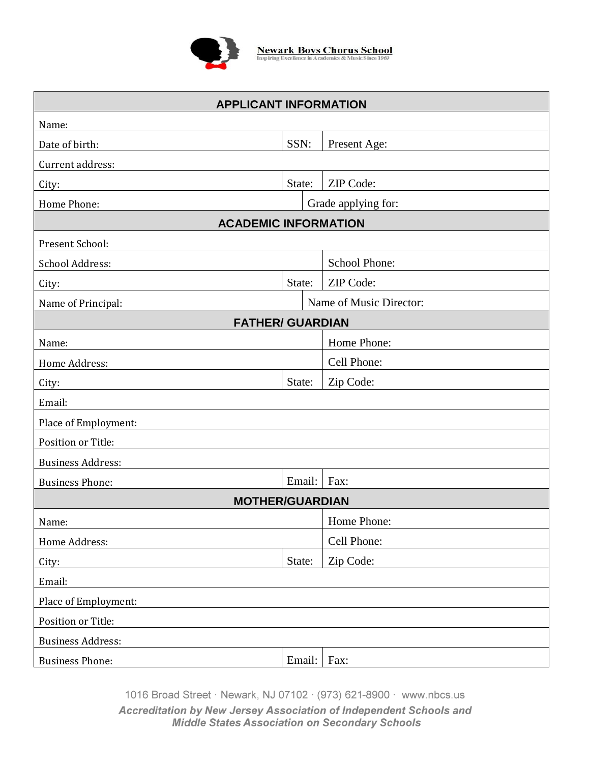

**Newark Boys Chorus School**<br>Inspiring Excellence in Academics & Music Since 1969

| <b>APPLICANT INFORMATION</b> |                     |                         |  |  |
|------------------------------|---------------------|-------------------------|--|--|
| Name:                        |                     |                         |  |  |
| Date of birth:               | SSN:                | Present Age:            |  |  |
| Current address:             |                     |                         |  |  |
| City:                        | State:              | ZIP Code:               |  |  |
| Home Phone:                  | Grade applying for: |                         |  |  |
| <b>ACADEMIC INFORMATION</b>  |                     |                         |  |  |
| Present School:              |                     |                         |  |  |
| School Address:              |                     | School Phone:           |  |  |
| City:                        | State:              | ZIP Code:               |  |  |
| Name of Principal:           |                     | Name of Music Director: |  |  |
| <b>FATHER/ GUARDIAN</b>      |                     |                         |  |  |
| Name:                        |                     | Home Phone:             |  |  |
| Home Address:                |                     | Cell Phone:             |  |  |
| City:                        | State:              | Zip Code:               |  |  |
| Email:                       |                     |                         |  |  |
| Place of Employment:         |                     |                         |  |  |
| Position or Title:           |                     |                         |  |  |
| <b>Business Address:</b>     |                     |                         |  |  |
| <b>Business Phone:</b>       | Email:              | Fax:                    |  |  |
| <b>MOTHER/GUARDIAN</b>       |                     |                         |  |  |
| Name:                        |                     | Home Phone:             |  |  |
| Home Address:                |                     | Cell Phone:             |  |  |
| City:                        | State:              | Zip Code:               |  |  |
| Email:                       |                     |                         |  |  |
| Place of Employment:         |                     |                         |  |  |
| Position or Title:           |                     |                         |  |  |
| <b>Business Address:</b>     |                     |                         |  |  |
| <b>Business Phone:</b>       | Email:              | Fax:                    |  |  |

1016 Broad Street · Newark, NJ 07102 · (973) 621-8900 · www.nbcs.us Accreditation by New Jersey Association of Independent Schools and Middle States Association on Secondary Schools